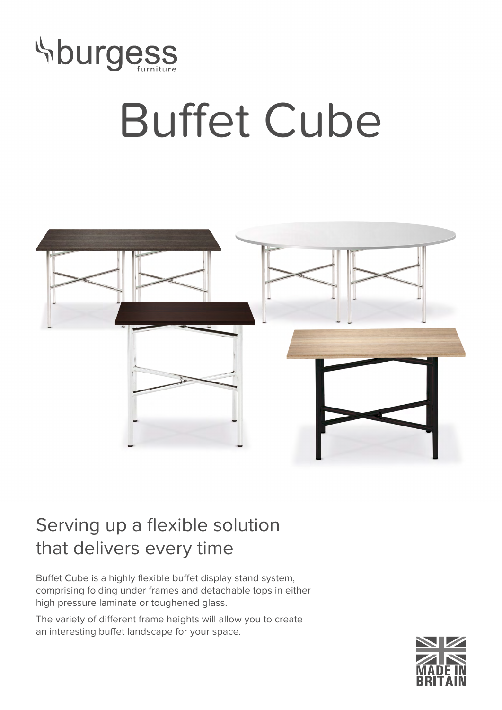

## Buffet Cube



## Serving up a flexible solution that delivers every time

Buffet Cube is a highly flexible buffet display stand system, comprising folding under frames and detachable tops in either high pressure laminate or toughened glass.

The variety of different frame heights will allow you to create an interesting buffet landscape for your space.